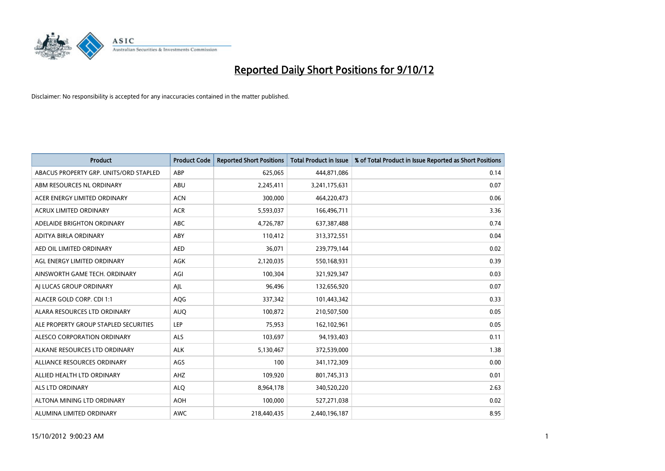

| <b>Product</b>                         | <b>Product Code</b> | <b>Reported Short Positions</b> | <b>Total Product in Issue</b> | % of Total Product in Issue Reported as Short Positions |
|----------------------------------------|---------------------|---------------------------------|-------------------------------|---------------------------------------------------------|
| ABACUS PROPERTY GRP. UNITS/ORD STAPLED | ABP                 | 625,065                         | 444,871,086                   | 0.14                                                    |
| ABM RESOURCES NL ORDINARY              | ABU                 | 2,245,411                       | 3,241,175,631                 | 0.07                                                    |
| ACER ENERGY LIMITED ORDINARY           | <b>ACN</b>          | 300,000                         | 464,220,473                   | 0.06                                                    |
| ACRUX LIMITED ORDINARY                 | <b>ACR</b>          | 5,593,037                       | 166,496,711                   | 3.36                                                    |
| ADELAIDE BRIGHTON ORDINARY             | <b>ABC</b>          | 4,726,787                       | 637, 387, 488                 | 0.74                                                    |
| ADITYA BIRLA ORDINARY                  | ABY                 | 110,412                         | 313,372,551                   | 0.04                                                    |
| AED OIL LIMITED ORDINARY               | <b>AED</b>          | 36,071                          | 239,779,144                   | 0.02                                                    |
| AGL ENERGY LIMITED ORDINARY            | <b>AGK</b>          | 2,120,035                       | 550,168,931                   | 0.39                                                    |
| AINSWORTH GAME TECH. ORDINARY          | AGI                 | 100,304                         | 321,929,347                   | 0.03                                                    |
| AI LUCAS GROUP ORDINARY                | AJL                 | 96,496                          | 132,656,920                   | 0.07                                                    |
| ALACER GOLD CORP. CDI 1:1              | AQG                 | 337,342                         | 101,443,342                   | 0.33                                                    |
| ALARA RESOURCES LTD ORDINARY           | <b>AUQ</b>          | 100,872                         | 210,507,500                   | 0.05                                                    |
| ALE PROPERTY GROUP STAPLED SECURITIES  | LEP                 | 75,953                          | 162,102,961                   | 0.05                                                    |
| ALESCO CORPORATION ORDINARY            | <b>ALS</b>          | 103,697                         | 94,193,403                    | 0.11                                                    |
| ALKANE RESOURCES LTD ORDINARY          | <b>ALK</b>          | 5,130,467                       | 372,539,000                   | 1.38                                                    |
| ALLIANCE RESOURCES ORDINARY            | AGS                 | 100                             | 341,172,309                   | 0.00                                                    |
| ALLIED HEALTH LTD ORDINARY             | AHZ                 | 109,920                         | 801,745,313                   | 0.01                                                    |
| ALS LTD ORDINARY                       | <b>ALQ</b>          | 8,964,178                       | 340,520,220                   | 2.63                                                    |
| ALTONA MINING LTD ORDINARY             | <b>AOH</b>          | 100,000                         | 527,271,038                   | 0.02                                                    |
| ALUMINA LIMITED ORDINARY               | <b>AWC</b>          | 218,440,435                     | 2,440,196,187                 | 8.95                                                    |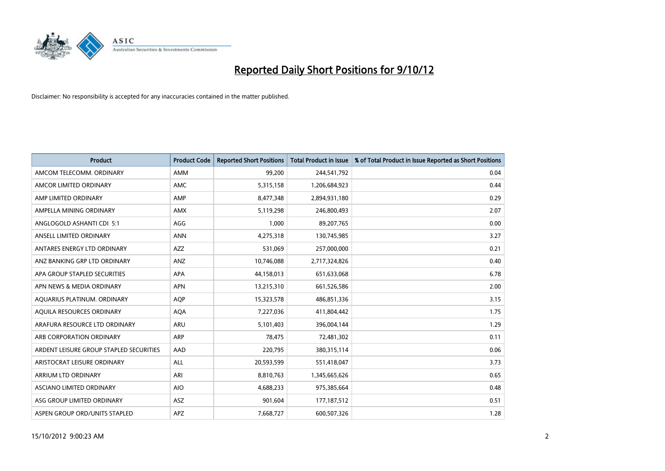

| <b>Product</b>                          | <b>Product Code</b> | <b>Reported Short Positions</b> | <b>Total Product in Issue</b> | % of Total Product in Issue Reported as Short Positions |
|-----------------------------------------|---------------------|---------------------------------|-------------------------------|---------------------------------------------------------|
| AMCOM TELECOMM, ORDINARY                | <b>AMM</b>          | 99,200                          | 244,541,792                   | 0.04                                                    |
| AMCOR LIMITED ORDINARY                  | <b>AMC</b>          | 5,315,158                       | 1,206,684,923                 | 0.44                                                    |
| AMP LIMITED ORDINARY                    | AMP                 | 8,477,348                       | 2,894,931,180                 | 0.29                                                    |
| AMPELLA MINING ORDINARY                 | <b>AMX</b>          | 5,119,298                       | 246,800,493                   | 2.07                                                    |
| ANGLOGOLD ASHANTI CDI 5:1               | AGG                 | 1,000                           | 89,207,765                    | 0.00                                                    |
| ANSELL LIMITED ORDINARY                 | <b>ANN</b>          | 4,275,318                       | 130,745,985                   | 3.27                                                    |
| ANTARES ENERGY LTD ORDINARY             | <b>AZZ</b>          | 531.069                         | 257,000,000                   | 0.21                                                    |
| ANZ BANKING GRP LTD ORDINARY            | ANZ                 | 10,746,088                      | 2,717,324,826                 | 0.40                                                    |
| APA GROUP STAPLED SECURITIES            | <b>APA</b>          | 44,158,013                      | 651,633,068                   | 6.78                                                    |
| APN NEWS & MEDIA ORDINARY               | <b>APN</b>          | 13,215,310                      | 661,526,586                   | 2.00                                                    |
| AQUARIUS PLATINUM. ORDINARY             | <b>AOP</b>          | 15,323,578                      | 486,851,336                   | 3.15                                                    |
| AQUILA RESOURCES ORDINARY               | <b>AQA</b>          | 7,227,036                       | 411,804,442                   | 1.75                                                    |
| ARAFURA RESOURCE LTD ORDINARY           | <b>ARU</b>          | 5,101,403                       | 396,004,144                   | 1.29                                                    |
| ARB CORPORATION ORDINARY                | <b>ARP</b>          | 78.475                          | 72,481,302                    | 0.11                                                    |
| ARDENT LEISURE GROUP STAPLED SECURITIES | AAD                 | 220,795                         | 380, 315, 114                 | 0.06                                                    |
| ARISTOCRAT LEISURE ORDINARY             | <b>ALL</b>          | 20,593,599                      | 551,418,047                   | 3.73                                                    |
| ARRIUM LTD ORDINARY                     | ARI                 | 8,810,763                       | 1,345,665,626                 | 0.65                                                    |
| ASCIANO LIMITED ORDINARY                | <b>AIO</b>          | 4,688,233                       | 975,385,664                   | 0.48                                                    |
| ASG GROUP LIMITED ORDINARY              | <b>ASZ</b>          | 901,604                         | 177, 187, 512                 | 0.51                                                    |
| ASPEN GROUP ORD/UNITS STAPLED           | <b>APZ</b>          | 7,668,727                       | 600,507,326                   | 1.28                                                    |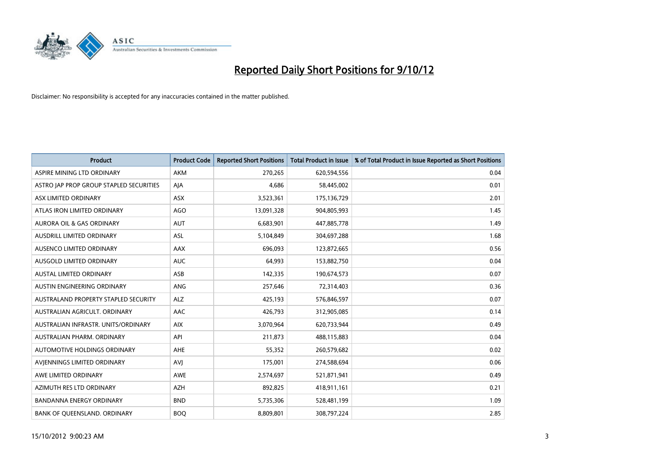

| <b>Product</b>                          | <b>Product Code</b> | <b>Reported Short Positions</b> | <b>Total Product in Issue</b> | % of Total Product in Issue Reported as Short Positions |
|-----------------------------------------|---------------------|---------------------------------|-------------------------------|---------------------------------------------------------|
| ASPIRE MINING LTD ORDINARY              | <b>AKM</b>          | 270,265                         | 620,594,556                   | 0.04                                                    |
| ASTRO JAP PROP GROUP STAPLED SECURITIES | AJA                 | 4,686                           | 58,445,002                    | 0.01                                                    |
| ASX LIMITED ORDINARY                    | <b>ASX</b>          | 3,523,361                       | 175,136,729                   | 2.01                                                    |
| ATLAS IRON LIMITED ORDINARY             | AGO                 | 13,091,328                      | 904,805,993                   | 1.45                                                    |
| <b>AURORA OIL &amp; GAS ORDINARY</b>    | <b>AUT</b>          | 6,683,901                       | 447,885,778                   | 1.49                                                    |
| AUSDRILL LIMITED ORDINARY               | <b>ASL</b>          | 5,104,849                       | 304,697,288                   | 1.68                                                    |
| AUSENCO LIMITED ORDINARY                | AAX                 | 696,093                         | 123,872,665                   | 0.56                                                    |
| <b>AUSGOLD LIMITED ORDINARY</b>         | <b>AUC</b>          | 64,993                          | 153,882,750                   | 0.04                                                    |
| <b>AUSTAL LIMITED ORDINARY</b>          | ASB                 | 142,335                         | 190,674,573                   | 0.07                                                    |
| AUSTIN ENGINEERING ORDINARY             | <b>ANG</b>          | 257,646                         | 72,314,403                    | 0.36                                                    |
| AUSTRALAND PROPERTY STAPLED SECURITY    | <b>ALZ</b>          | 425,193                         | 576,846,597                   | 0.07                                                    |
| AUSTRALIAN AGRICULT. ORDINARY           | AAC                 | 426,793                         | 312,905,085                   | 0.14                                                    |
| AUSTRALIAN INFRASTR, UNITS/ORDINARY     | <b>AIX</b>          | 3,070,964                       | 620,733,944                   | 0.49                                                    |
| AUSTRALIAN PHARM, ORDINARY              | API                 | 211,873                         | 488,115,883                   | 0.04                                                    |
| AUTOMOTIVE HOLDINGS ORDINARY            | <b>AHE</b>          | 55,352                          | 260,579,682                   | 0.02                                                    |
| AVJENNINGS LIMITED ORDINARY             | <b>AVJ</b>          | 175,001                         | 274,588,694                   | 0.06                                                    |
| AWE LIMITED ORDINARY                    | AWE                 | 2,574,697                       | 521,871,941                   | 0.49                                                    |
| AZIMUTH RES LTD ORDINARY                | <b>AZH</b>          | 892,825                         | 418,911,161                   | 0.21                                                    |
| <b>BANDANNA ENERGY ORDINARY</b>         | <b>BND</b>          | 5,735,306                       | 528,481,199                   | 1.09                                                    |
| BANK OF QUEENSLAND. ORDINARY            | <b>BOQ</b>          | 8,809,801                       | 308,797,224                   | 2.85                                                    |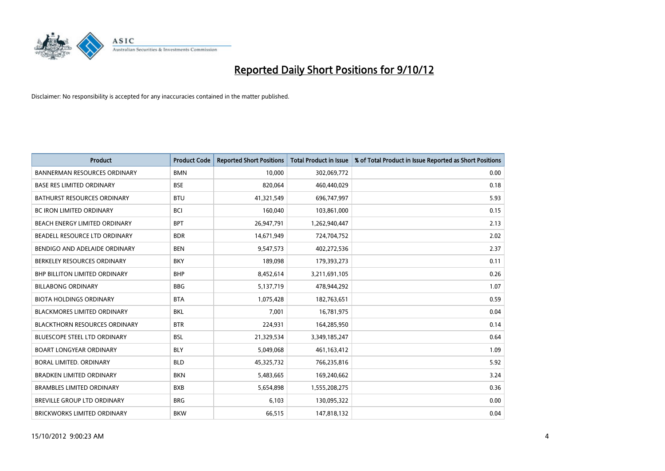

| <b>Product</b>                       | <b>Product Code</b> | <b>Reported Short Positions</b> | <b>Total Product in Issue</b> | % of Total Product in Issue Reported as Short Positions |
|--------------------------------------|---------------------|---------------------------------|-------------------------------|---------------------------------------------------------|
| <b>BANNERMAN RESOURCES ORDINARY</b>  | <b>BMN</b>          | 10.000                          | 302,069,772                   | 0.00                                                    |
| <b>BASE RES LIMITED ORDINARY</b>     | <b>BSE</b>          | 820,064                         | 460,440,029                   | 0.18                                                    |
| <b>BATHURST RESOURCES ORDINARY</b>   | <b>BTU</b>          | 41,321,549                      | 696,747,997                   | 5.93                                                    |
| <b>BC IRON LIMITED ORDINARY</b>      | <b>BCI</b>          | 160,040                         | 103,861,000                   | 0.15                                                    |
| BEACH ENERGY LIMITED ORDINARY        | <b>BPT</b>          | 26,947,791                      | 1,262,940,447                 | 2.13                                                    |
| BEADELL RESOURCE LTD ORDINARY        | <b>BDR</b>          | 14,671,949                      | 724,704,752                   | 2.02                                                    |
| BENDIGO AND ADELAIDE ORDINARY        | <b>BEN</b>          | 9,547,573                       | 402,272,536                   | 2.37                                                    |
| BERKELEY RESOURCES ORDINARY          | <b>BKY</b>          | 189,098                         | 179,393,273                   | 0.11                                                    |
| <b>BHP BILLITON LIMITED ORDINARY</b> | <b>BHP</b>          | 8,452,614                       | 3,211,691,105                 | 0.26                                                    |
| <b>BILLABONG ORDINARY</b>            | <b>BBG</b>          | 5,137,719                       | 478,944,292                   | 1.07                                                    |
| <b>BIOTA HOLDINGS ORDINARY</b>       | <b>BTA</b>          | 1,075,428                       | 182,763,651                   | 0.59                                                    |
| <b>BLACKMORES LIMITED ORDINARY</b>   | <b>BKL</b>          | 7,001                           | 16,781,975                    | 0.04                                                    |
| <b>BLACKTHORN RESOURCES ORDINARY</b> | <b>BTR</b>          | 224,931                         | 164,285,950                   | 0.14                                                    |
| <b>BLUESCOPE STEEL LTD ORDINARY</b>  | <b>BSL</b>          | 21,329,534                      | 3,349,185,247                 | 0.64                                                    |
| <b>BOART LONGYEAR ORDINARY</b>       | <b>BLY</b>          | 5,049,068                       | 461,163,412                   | 1.09                                                    |
| BORAL LIMITED, ORDINARY              | <b>BLD</b>          | 45,325,732                      | 766,235,816                   | 5.92                                                    |
| <b>BRADKEN LIMITED ORDINARY</b>      | <b>BKN</b>          | 5,483,665                       | 169,240,662                   | 3.24                                                    |
| <b>BRAMBLES LIMITED ORDINARY</b>     | <b>BXB</b>          | 5,654,898                       | 1,555,208,275                 | 0.36                                                    |
| <b>BREVILLE GROUP LTD ORDINARY</b>   | <b>BRG</b>          | 6,103                           | 130,095,322                   | 0.00                                                    |
| BRICKWORKS LIMITED ORDINARY          | <b>BKW</b>          | 66,515                          | 147,818,132                   | 0.04                                                    |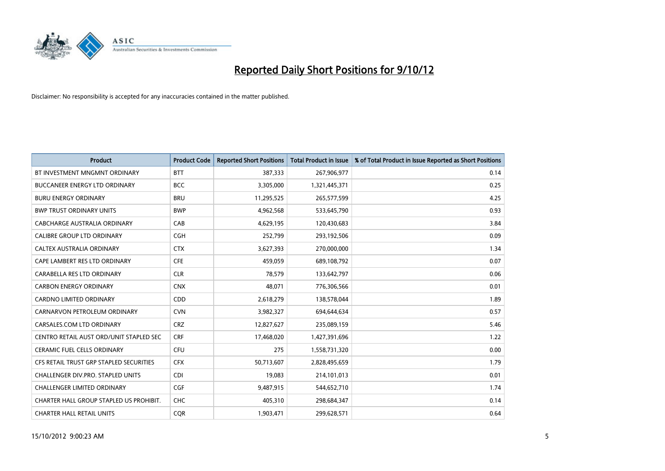

| <b>Product</b>                          | <b>Product Code</b> | <b>Reported Short Positions</b> | <b>Total Product in Issue</b> | % of Total Product in Issue Reported as Short Positions |
|-----------------------------------------|---------------------|---------------------------------|-------------------------------|---------------------------------------------------------|
| BT INVESTMENT MNGMNT ORDINARY           | <b>BTT</b>          | 387,333                         | 267,906,977                   | 0.14                                                    |
| BUCCANEER ENERGY LTD ORDINARY           | <b>BCC</b>          | 3,305,000                       | 1,321,445,371                 | 0.25                                                    |
| <b>BURU ENERGY ORDINARY</b>             | <b>BRU</b>          | 11,295,525                      | 265,577,599                   | 4.25                                                    |
| <b>BWP TRUST ORDINARY UNITS</b>         | <b>BWP</b>          | 4,962,568                       | 533,645,790                   | 0.93                                                    |
| CABCHARGE AUSTRALIA ORDINARY            | CAB                 | 4,629,195                       | 120,430,683                   | 3.84                                                    |
| <b>CALIBRE GROUP LTD ORDINARY</b>       | <b>CGH</b>          | 252,799                         | 293,192,506                   | 0.09                                                    |
| CALTEX AUSTRALIA ORDINARY               | <b>CTX</b>          | 3,627,393                       | 270,000,000                   | 1.34                                                    |
| CAPE LAMBERT RES LTD ORDINARY           | <b>CFE</b>          | 459,059                         | 689,108,792                   | 0.07                                                    |
| CARABELLA RES LTD ORDINARY              | <b>CLR</b>          | 78,579                          | 133,642,797                   | 0.06                                                    |
| <b>CARBON ENERGY ORDINARY</b>           | <b>CNX</b>          | 48,071                          | 776,306,566                   | 0.01                                                    |
| CARDNO LIMITED ORDINARY                 | CDD                 | 2,618,279                       | 138,578,044                   | 1.89                                                    |
| CARNARVON PETROLEUM ORDINARY            | <b>CVN</b>          | 3,982,327                       | 694,644,634                   | 0.57                                                    |
| CARSALES.COM LTD ORDINARY               | <b>CRZ</b>          | 12,827,627                      | 235,089,159                   | 5.46                                                    |
| CENTRO RETAIL AUST ORD/UNIT STAPLED SEC | <b>CRF</b>          | 17,468,020                      | 1,427,391,696                 | 1.22                                                    |
| <b>CERAMIC FUEL CELLS ORDINARY</b>      | <b>CFU</b>          | 275                             | 1,558,731,320                 | 0.00                                                    |
| CFS RETAIL TRUST GRP STAPLED SECURITIES | <b>CFX</b>          | 50,713,607                      | 2,828,495,659                 | 1.79                                                    |
| CHALLENGER DIV.PRO. STAPLED UNITS       | <b>CDI</b>          | 19,083                          | 214,101,013                   | 0.01                                                    |
| <b>CHALLENGER LIMITED ORDINARY</b>      | <b>CGF</b>          | 9,487,915                       | 544,652,710                   | 1.74                                                    |
| CHARTER HALL GROUP STAPLED US PROHIBIT. | <b>CHC</b>          | 405,310                         | 298,684,347                   | 0.14                                                    |
| <b>CHARTER HALL RETAIL UNITS</b>        | <b>COR</b>          | 1,903,471                       | 299.628.571                   | 0.64                                                    |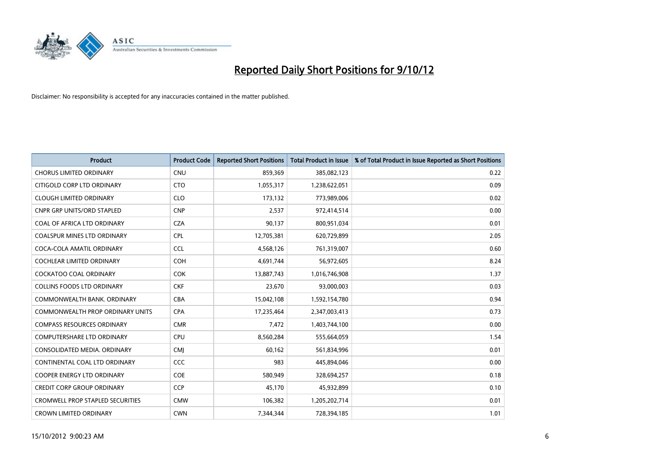

| <b>Product</b>                          | <b>Product Code</b> | <b>Reported Short Positions</b> | <b>Total Product in Issue</b> | % of Total Product in Issue Reported as Short Positions |
|-----------------------------------------|---------------------|---------------------------------|-------------------------------|---------------------------------------------------------|
| <b>CHORUS LIMITED ORDINARY</b>          | <b>CNU</b>          | 859,369                         | 385,082,123                   | 0.22                                                    |
| CITIGOLD CORP LTD ORDINARY              | <b>CTO</b>          | 1,055,317                       | 1,238,622,051                 | 0.09                                                    |
| <b>CLOUGH LIMITED ORDINARY</b>          | <b>CLO</b>          | 173,132                         | 773,989,006                   | 0.02                                                    |
| <b>CNPR GRP UNITS/ORD STAPLED</b>       | <b>CNP</b>          | 2,537                           | 972,414,514                   | 0.00                                                    |
| COAL OF AFRICA LTD ORDINARY             | <b>CZA</b>          | 90,137                          | 800,951,034                   | 0.01                                                    |
| <b>COALSPUR MINES LTD ORDINARY</b>      | CPL                 | 12,705,381                      | 620,729,899                   | 2.05                                                    |
| COCA-COLA AMATIL ORDINARY               | <b>CCL</b>          | 4,568,126                       | 761,319,007                   | 0.60                                                    |
| <b>COCHLEAR LIMITED ORDINARY</b>        | <b>COH</b>          | 4,691,744                       | 56,972,605                    | 8.24                                                    |
| COCKATOO COAL ORDINARY                  | <b>COK</b>          | 13,887,743                      | 1,016,746,908                 | 1.37                                                    |
| <b>COLLINS FOODS LTD ORDINARY</b>       | <b>CKF</b>          | 23,670                          | 93,000,003                    | 0.03                                                    |
| COMMONWEALTH BANK, ORDINARY             | <b>CBA</b>          | 15,042,108                      | 1,592,154,780                 | 0.94                                                    |
| COMMONWEALTH PROP ORDINARY UNITS        | <b>CPA</b>          | 17,235,464                      | 2,347,003,413                 | 0.73                                                    |
| <b>COMPASS RESOURCES ORDINARY</b>       | <b>CMR</b>          | 7,472                           | 1,403,744,100                 | 0.00                                                    |
| <b>COMPUTERSHARE LTD ORDINARY</b>       | <b>CPU</b>          | 8,560,284                       | 555,664,059                   | 1.54                                                    |
| CONSOLIDATED MEDIA, ORDINARY            | <b>CMI</b>          | 60,162                          | 561,834,996                   | 0.01                                                    |
| CONTINENTAL COAL LTD ORDINARY           | CCC                 | 983                             | 445,894,046                   | 0.00                                                    |
| <b>COOPER ENERGY LTD ORDINARY</b>       | <b>COE</b>          | 580,949                         | 328,694,257                   | 0.18                                                    |
| CREDIT CORP GROUP ORDINARY              | <b>CCP</b>          | 45,170                          | 45,932,899                    | 0.10                                                    |
| <b>CROMWELL PROP STAPLED SECURITIES</b> | <b>CMW</b>          | 106,382                         | 1,205,202,714                 | 0.01                                                    |
| <b>CROWN LIMITED ORDINARY</b>           | <b>CWN</b>          | 7.344.344                       | 728,394,185                   | 1.01                                                    |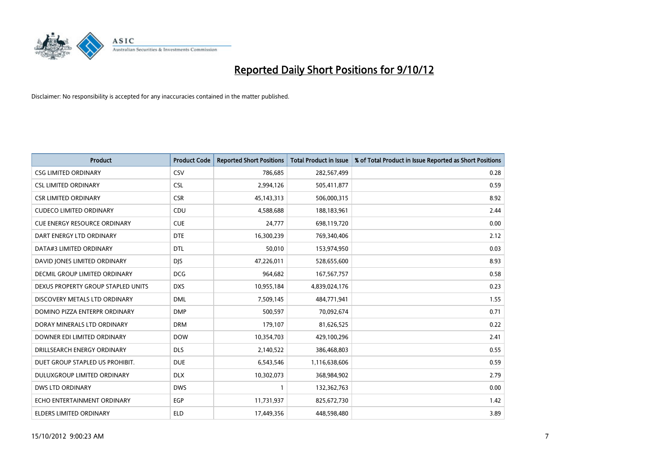

| <b>Product</b>                       | <b>Product Code</b> | <b>Reported Short Positions</b> | <b>Total Product in Issue</b> | % of Total Product in Issue Reported as Short Positions |
|--------------------------------------|---------------------|---------------------------------|-------------------------------|---------------------------------------------------------|
| <b>CSG LIMITED ORDINARY</b>          | CSV                 | 786,685                         | 282,567,499                   | 0.28                                                    |
| <b>CSL LIMITED ORDINARY</b>          | <b>CSL</b>          | 2,994,126                       | 505,411,877                   | 0.59                                                    |
| <b>CSR LIMITED ORDINARY</b>          | <b>CSR</b>          | 45, 143, 313                    | 506,000,315                   | 8.92                                                    |
| <b>CUDECO LIMITED ORDINARY</b>       | CDU                 | 4,588,688                       | 188,183,961                   | 2.44                                                    |
| <b>CUE ENERGY RESOURCE ORDINARY</b>  | <b>CUE</b>          | 24,777                          | 698,119,720                   | 0.00                                                    |
| DART ENERGY LTD ORDINARY             | <b>DTE</b>          | 16,300,239                      | 769,340,406                   | 2.12                                                    |
| DATA#3 LIMITED ORDINARY              | <b>DTL</b>          | 50,010                          | 153,974,950                   | 0.03                                                    |
| DAVID JONES LIMITED ORDINARY         | <b>DIS</b>          | 47,226,011                      | 528,655,600                   | 8.93                                                    |
| <b>DECMIL GROUP LIMITED ORDINARY</b> | <b>DCG</b>          | 964,682                         | 167,567,757                   | 0.58                                                    |
| DEXUS PROPERTY GROUP STAPLED UNITS   | <b>DXS</b>          | 10,955,184                      | 4,839,024,176                 | 0.23                                                    |
| DISCOVERY METALS LTD ORDINARY        | <b>DML</b>          | 7,509,145                       | 484,771,941                   | 1.55                                                    |
| DOMINO PIZZA ENTERPR ORDINARY        | <b>DMP</b>          | 500,597                         | 70,092,674                    | 0.71                                                    |
| DORAY MINERALS LTD ORDINARY          | <b>DRM</b>          | 179,107                         | 81,626,525                    | 0.22                                                    |
| DOWNER EDI LIMITED ORDINARY          | <b>DOW</b>          | 10,354,703                      | 429,100,296                   | 2.41                                                    |
| DRILLSEARCH ENERGY ORDINARY          | <b>DLS</b>          | 2,140,522                       | 386,468,803                   | 0.55                                                    |
| DUET GROUP STAPLED US PROHIBIT.      | <b>DUE</b>          | 6,543,546                       | 1,116,638,606                 | 0.59                                                    |
| DULUXGROUP LIMITED ORDINARY          | <b>DLX</b>          | 10,302,073                      | 368,984,902                   | 2.79                                                    |
| <b>DWS LTD ORDINARY</b>              | <b>DWS</b>          |                                 | 132,362,763                   | 0.00                                                    |
| ECHO ENTERTAINMENT ORDINARY          | <b>EGP</b>          | 11,731,937                      | 825,672,730                   | 1.42                                                    |
| ELDERS LIMITED ORDINARY              | <b>ELD</b>          | 17,449,356                      | 448,598,480                   | 3.89                                                    |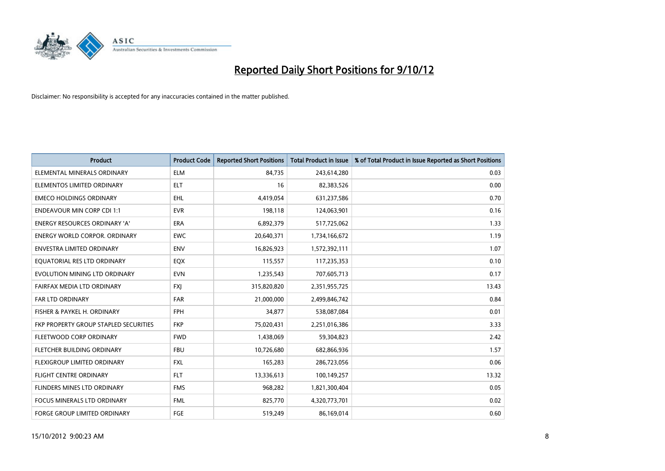

| <b>Product</b>                        | <b>Product Code</b> | <b>Reported Short Positions</b> | <b>Total Product in Issue</b> | % of Total Product in Issue Reported as Short Positions |
|---------------------------------------|---------------------|---------------------------------|-------------------------------|---------------------------------------------------------|
| ELEMENTAL MINERALS ORDINARY           | <b>ELM</b>          | 84.735                          | 243,614,280                   | 0.03                                                    |
| ELEMENTOS LIMITED ORDINARY            | <b>ELT</b>          | 16                              | 82,383,526                    | 0.00                                                    |
| <b>EMECO HOLDINGS ORDINARY</b>        | <b>EHL</b>          | 4,419,054                       | 631,237,586                   | 0.70                                                    |
| <b>ENDEAVOUR MIN CORP CDI 1:1</b>     | <b>EVR</b>          | 198,118                         | 124,063,901                   | 0.16                                                    |
| <b>ENERGY RESOURCES ORDINARY 'A'</b>  | <b>ERA</b>          | 6,892,379                       | 517,725,062                   | 1.33                                                    |
| <b>ENERGY WORLD CORPOR, ORDINARY</b>  | <b>EWC</b>          | 20,640,371                      | 1,734,166,672                 | 1.19                                                    |
| ENVESTRA LIMITED ORDINARY             | <b>ENV</b>          | 16,826,923                      | 1,572,392,111                 | 1.07                                                    |
| EQUATORIAL RES LTD ORDINARY           | <b>EQX</b>          | 115,557                         | 117,235,353                   | 0.10                                                    |
| EVOLUTION MINING LTD ORDINARY         | <b>EVN</b>          | 1,235,543                       | 707,605,713                   | 0.17                                                    |
| FAIRFAX MEDIA LTD ORDINARY            | <b>FXI</b>          | 315,820,820                     | 2,351,955,725                 | 13.43                                                   |
| <b>FAR LTD ORDINARY</b>               | <b>FAR</b>          | 21,000,000                      | 2,499,846,742                 | 0.84                                                    |
| FISHER & PAYKEL H. ORDINARY           | <b>FPH</b>          | 34,877                          | 538,087,084                   | 0.01                                                    |
| FKP PROPERTY GROUP STAPLED SECURITIES | <b>FKP</b>          | 75,020,431                      | 2,251,016,386                 | 3.33                                                    |
| FLEETWOOD CORP ORDINARY               | <b>FWD</b>          | 1,438,069                       | 59,304,823                    | 2.42                                                    |
| FLETCHER BUILDING ORDINARY            | <b>FBU</b>          | 10,726,680                      | 682,866,936                   | 1.57                                                    |
| <b>FLEXIGROUP LIMITED ORDINARY</b>    | <b>FXL</b>          | 165,283                         | 286,723,056                   | 0.06                                                    |
| FLIGHT CENTRE ORDINARY                | <b>FLT</b>          | 13,336,613                      | 100,149,257                   | 13.32                                                   |
| FLINDERS MINES LTD ORDINARY           | <b>FMS</b>          | 968,282                         | 1,821,300,404                 | 0.05                                                    |
| <b>FOCUS MINERALS LTD ORDINARY</b>    | <b>FML</b>          | 825,770                         | 4,320,773,701                 | 0.02                                                    |
| FORGE GROUP LIMITED ORDINARY          | FGE                 | 519,249                         | 86,169,014                    | 0.60                                                    |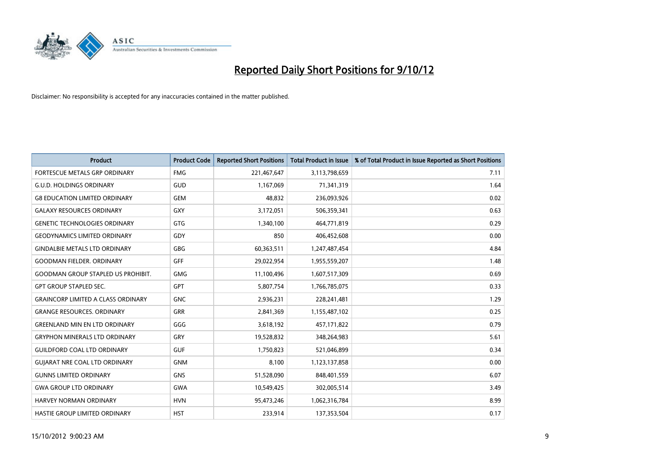

| <b>Product</b>                            | <b>Product Code</b> | <b>Reported Short Positions</b> | <b>Total Product in Issue</b> | % of Total Product in Issue Reported as Short Positions |
|-------------------------------------------|---------------------|---------------------------------|-------------------------------|---------------------------------------------------------|
| <b>FORTESCUE METALS GRP ORDINARY</b>      | <b>FMG</b>          | 221,467,647                     | 3,113,798,659                 | 7.11                                                    |
| <b>G.U.D. HOLDINGS ORDINARY</b>           | <b>GUD</b>          | 1,167,069                       | 71,341,319                    | 1.64                                                    |
| <b>G8 EDUCATION LIMITED ORDINARY</b>      | <b>GEM</b>          | 48,832                          | 236,093,926                   | 0.02                                                    |
| <b>GALAXY RESOURCES ORDINARY</b>          | <b>GXY</b>          | 3,172,051                       | 506,359,341                   | 0.63                                                    |
| <b>GENETIC TECHNOLOGIES ORDINARY</b>      | <b>GTG</b>          | 1,340,100                       | 464,771,819                   | 0.29                                                    |
| <b>GEODYNAMICS LIMITED ORDINARY</b>       | GDY                 | 850                             | 406,452,608                   | 0.00                                                    |
| <b>GINDALBIE METALS LTD ORDINARY</b>      | <b>GBG</b>          | 60,363,511                      | 1,247,487,454                 | 4.84                                                    |
| <b>GOODMAN FIELDER, ORDINARY</b>          | <b>GFF</b>          | 29,022,954                      | 1,955,559,207                 | 1.48                                                    |
| <b>GOODMAN GROUP STAPLED US PROHIBIT.</b> | <b>GMG</b>          | 11,100,496                      | 1,607,517,309                 | 0.69                                                    |
| <b>GPT GROUP STAPLED SEC.</b>             | <b>GPT</b>          | 5,807,754                       | 1,766,785,075                 | 0.33                                                    |
| <b>GRAINCORP LIMITED A CLASS ORDINARY</b> | <b>GNC</b>          | 2,936,231                       | 228,241,481                   | 1.29                                                    |
| <b>GRANGE RESOURCES, ORDINARY</b>         | <b>GRR</b>          | 2,841,369                       | 1,155,487,102                 | 0.25                                                    |
| <b>GREENLAND MIN EN LTD ORDINARY</b>      | GGG                 | 3,618,192                       | 457,171,822                   | 0.79                                                    |
| <b>GRYPHON MINERALS LTD ORDINARY</b>      | GRY                 | 19,528,832                      | 348,264,983                   | 5.61                                                    |
| <b>GUILDFORD COAL LTD ORDINARY</b>        | <b>GUF</b>          | 1,750,823                       | 521,046,899                   | 0.34                                                    |
| <b>GUIARAT NRE COAL LTD ORDINARY</b>      | <b>GNM</b>          | 8,100                           | 1,123,137,858                 | 0.00                                                    |
| <b>GUNNS LIMITED ORDINARY</b>             | <b>GNS</b>          | 51,528,090                      | 848,401,559                   | 6.07                                                    |
| <b>GWA GROUP LTD ORDINARY</b>             | <b>GWA</b>          | 10,549,425                      | 302,005,514                   | 3.49                                                    |
| HARVEY NORMAN ORDINARY                    | <b>HVN</b>          | 95,473,246                      | 1,062,316,784                 | 8.99                                                    |
| <b>HASTIE GROUP LIMITED ORDINARY</b>      | <b>HST</b>          | 233.914                         | 137,353,504                   | 0.17                                                    |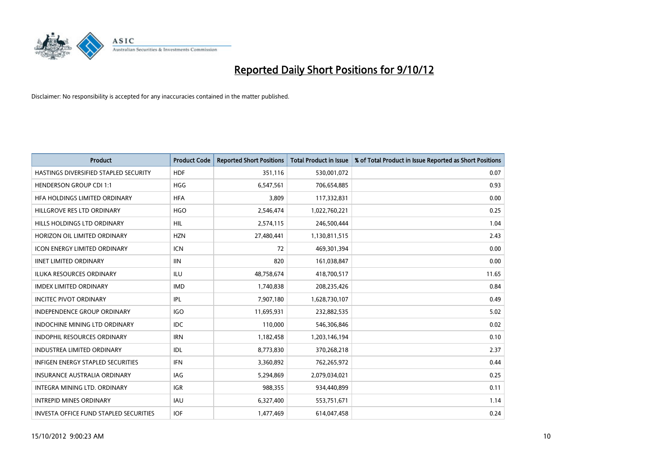

| <b>Product</b>                           | <b>Product Code</b> | <b>Reported Short Positions</b> | <b>Total Product in Issue</b> | % of Total Product in Issue Reported as Short Positions |
|------------------------------------------|---------------------|---------------------------------|-------------------------------|---------------------------------------------------------|
| HASTINGS DIVERSIFIED STAPLED SECURITY    | <b>HDF</b>          | 351,116                         | 530,001,072                   | 0.07                                                    |
| <b>HENDERSON GROUP CDI 1:1</b>           | <b>HGG</b>          | 6,547,561                       | 706,654,885                   | 0.93                                                    |
| HFA HOLDINGS LIMITED ORDINARY            | <b>HFA</b>          | 3.809                           | 117,332,831                   | 0.00                                                    |
| HILLGROVE RES LTD ORDINARY               | <b>HGO</b>          | 2,546,474                       | 1,022,760,221                 | 0.25                                                    |
| <b>HILLS HOLDINGS LTD ORDINARY</b>       | <b>HIL</b>          | 2,574,115                       | 246,500,444                   | 1.04                                                    |
| HORIZON OIL LIMITED ORDINARY             | <b>HZN</b>          | 27,480,441                      | 1,130,811,515                 | 2.43                                                    |
| <b>ICON ENERGY LIMITED ORDINARY</b>      | <b>ICN</b>          | 72                              | 469,301,394                   | 0.00                                                    |
| <b>IINET LIMITED ORDINARY</b>            | <b>IIN</b>          | 820                             | 161,038,847                   | 0.00                                                    |
| ILUKA RESOURCES ORDINARY                 | ILU                 | 48,758,674                      | 418,700,517                   | 11.65                                                   |
| <b>IMDEX LIMITED ORDINARY</b>            | <b>IMD</b>          | 1,740,838                       | 208,235,426                   | 0.84                                                    |
| <b>INCITEC PIVOT ORDINARY</b>            | IPL                 | 7,907,180                       | 1,628,730,107                 | 0.49                                                    |
| <b>INDEPENDENCE GROUP ORDINARY</b>       | <b>IGO</b>          | 11,695,931                      | 232,882,535                   | 5.02                                                    |
| <b>INDOCHINE MINING LTD ORDINARY</b>     | <b>IDC</b>          | 110,000                         | 546,306,846                   | 0.02                                                    |
| <b>INDOPHIL RESOURCES ORDINARY</b>       | <b>IRN</b>          | 1,182,458                       | 1,203,146,194                 | 0.10                                                    |
| <b>INDUSTREA LIMITED ORDINARY</b>        | IDL                 | 8,773,830                       | 370,268,218                   | 2.37                                                    |
| <b>INFIGEN ENERGY STAPLED SECURITIES</b> | <b>IFN</b>          | 3,360,892                       | 762,265,972                   | 0.44                                                    |
| <b>INSURANCE AUSTRALIA ORDINARY</b>      | IAG                 | 5,294,869                       | 2,079,034,021                 | 0.25                                                    |
| INTEGRA MINING LTD. ORDINARY             | <b>IGR</b>          | 988,355                         | 934,440,899                   | 0.11                                                    |
| <b>INTREPID MINES ORDINARY</b>           | <b>IAU</b>          | 6,327,400                       | 553,751,671                   | 1.14                                                    |
| INVESTA OFFICE FUND STAPLED SECURITIES   | <b>IOF</b>          | 1,477,469                       | 614,047,458                   | 0.24                                                    |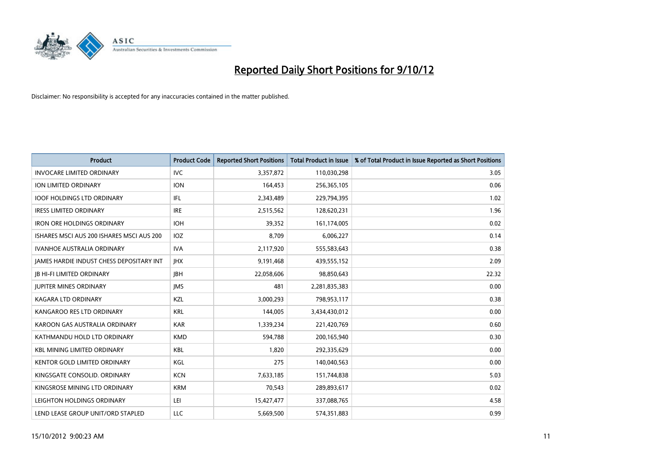

| <b>Product</b>                            | <b>Product Code</b> | <b>Reported Short Positions</b> | <b>Total Product in Issue</b> | % of Total Product in Issue Reported as Short Positions |
|-------------------------------------------|---------------------|---------------------------------|-------------------------------|---------------------------------------------------------|
| <b>INVOCARE LIMITED ORDINARY</b>          | IVC                 | 3,357,872                       | 110,030,298                   | 3.05                                                    |
| ION LIMITED ORDINARY                      | <b>ION</b>          | 164,453                         | 256,365,105                   | 0.06                                                    |
| <b>IOOF HOLDINGS LTD ORDINARY</b>         | IFL                 | 2,343,489                       | 229,794,395                   | 1.02                                                    |
| <b>IRESS LIMITED ORDINARY</b>             | <b>IRE</b>          | 2,515,562                       | 128,620,231                   | 1.96                                                    |
| <b>IRON ORE HOLDINGS ORDINARY</b>         | <b>IOH</b>          | 39,352                          | 161,174,005                   | 0.02                                                    |
| ISHARES MSCI AUS 200 ISHARES MSCI AUS 200 | <b>IOZ</b>          | 8,709                           | 6,006,227                     | 0.14                                                    |
| <b>IVANHOE AUSTRALIA ORDINARY</b>         | <b>IVA</b>          | 2,117,920                       | 555,583,643                   | 0.38                                                    |
| JAMES HARDIE INDUST CHESS DEPOSITARY INT  | <b>IHX</b>          | 9,191,468                       | 439,555,152                   | 2.09                                                    |
| <b>IB HI-FI LIMITED ORDINARY</b>          | <b>IBH</b>          | 22,058,606                      | 98,850,643                    | 22.32                                                   |
| <b>JUPITER MINES ORDINARY</b>             | <b>IMS</b>          | 481                             | 2,281,835,383                 | 0.00                                                    |
| KAGARA LTD ORDINARY                       | <b>KZL</b>          | 3,000,293                       | 798,953,117                   | 0.38                                                    |
| KANGAROO RES LTD ORDINARY                 | <b>KRL</b>          | 144,005                         | 3,434,430,012                 | 0.00                                                    |
| KAROON GAS AUSTRALIA ORDINARY             | <b>KAR</b>          | 1,339,234                       | 221,420,769                   | 0.60                                                    |
| KATHMANDU HOLD LTD ORDINARY               | <b>KMD</b>          | 594,788                         | 200,165,940                   | 0.30                                                    |
| <b>KBL MINING LIMITED ORDINARY</b>        | KBL                 | 1,820                           | 292,335,629                   | 0.00                                                    |
| KENTOR GOLD LIMITED ORDINARY              | KGL                 | 275                             | 140,040,563                   | 0.00                                                    |
| KINGSGATE CONSOLID. ORDINARY              | <b>KCN</b>          | 7,633,185                       | 151,744,838                   | 5.03                                                    |
| KINGSROSE MINING LTD ORDINARY             | <b>KRM</b>          | 70,543                          | 289,893,617                   | 0.02                                                    |
| LEIGHTON HOLDINGS ORDINARY                | LEI                 | 15,427,477                      | 337,088,765                   | 4.58                                                    |
| LEND LEASE GROUP UNIT/ORD STAPLED         | LLC                 | 5,669,500                       | 574,351,883                   | 0.99                                                    |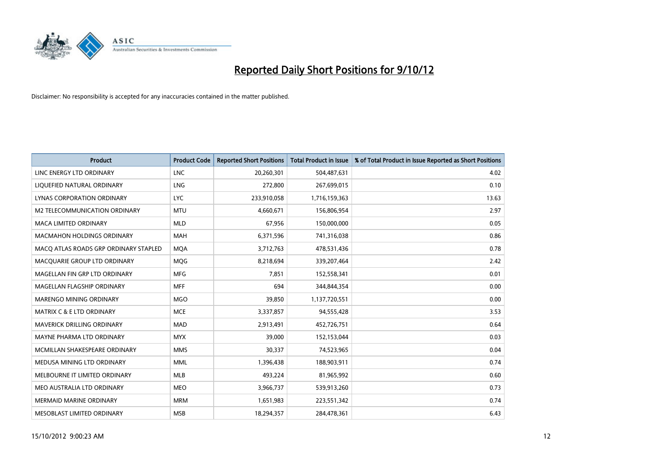

| <b>Product</b>                        | <b>Product Code</b> | <b>Reported Short Positions</b> | <b>Total Product in Issue</b> | % of Total Product in Issue Reported as Short Positions |
|---------------------------------------|---------------------|---------------------------------|-------------------------------|---------------------------------------------------------|
| LINC ENERGY LTD ORDINARY              | <b>LNC</b>          | 20,260,301                      | 504,487,631                   | 4.02                                                    |
| LIQUEFIED NATURAL ORDINARY            | LNG                 | 272,800                         | 267,699,015                   | 0.10                                                    |
| LYNAS CORPORATION ORDINARY            | <b>LYC</b>          | 233,910,058                     | 1,716,159,363                 | 13.63                                                   |
| M2 TELECOMMUNICATION ORDINARY         | <b>MTU</b>          | 4,660,671                       | 156,806,954                   | 2.97                                                    |
| <b>MACA LIMITED ORDINARY</b>          | <b>MLD</b>          | 67,956                          | 150,000,000                   | 0.05                                                    |
| <b>MACMAHON HOLDINGS ORDINARY</b>     | <b>MAH</b>          | 6,371,596                       | 741,316,038                   | 0.86                                                    |
| MACO ATLAS ROADS GRP ORDINARY STAPLED | <b>MOA</b>          | 3,712,763                       | 478,531,436                   | 0.78                                                    |
| MACQUARIE GROUP LTD ORDINARY          | <b>MOG</b>          | 8,218,694                       | 339,207,464                   | 2.42                                                    |
| MAGELLAN FIN GRP LTD ORDINARY         | <b>MFG</b>          | 7,851                           | 152,558,341                   | 0.01                                                    |
| MAGELLAN FLAGSHIP ORDINARY            | <b>MFF</b>          | 694                             | 344,844,354                   | 0.00                                                    |
| MARENGO MINING ORDINARY               | <b>MGO</b>          | 39,850                          | 1,137,720,551                 | 0.00                                                    |
| <b>MATRIX C &amp; E LTD ORDINARY</b>  | <b>MCE</b>          | 3,337,857                       | 94,555,428                    | 3.53                                                    |
| MAVERICK DRILLING ORDINARY            | <b>MAD</b>          | 2,913,491                       | 452,726,751                   | 0.64                                                    |
| MAYNE PHARMA LTD ORDINARY             | <b>MYX</b>          | 39,000                          | 152,153,044                   | 0.03                                                    |
| MCMILLAN SHAKESPEARE ORDINARY         | <b>MMS</b>          | 30,337                          | 74,523,965                    | 0.04                                                    |
| MEDUSA MINING LTD ORDINARY            | <b>MML</b>          | 1,396,438                       | 188,903,911                   | 0.74                                                    |
| MELBOURNE IT LIMITED ORDINARY         | <b>MLB</b>          | 493,224                         | 81,965,992                    | 0.60                                                    |
| MEO AUSTRALIA LTD ORDINARY            | <b>MEO</b>          | 3,966,737                       | 539,913,260                   | 0.73                                                    |
| <b>MERMAID MARINE ORDINARY</b>        | <b>MRM</b>          | 1,651,983                       | 223,551,342                   | 0.74                                                    |
| MESOBLAST LIMITED ORDINARY            | <b>MSB</b>          | 18,294,357                      | 284,478,361                   | 6.43                                                    |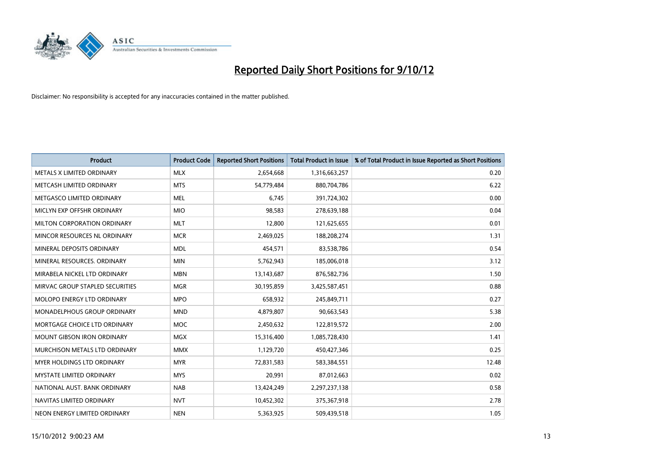

| <b>Product</b>                     | <b>Product Code</b> | <b>Reported Short Positions</b> | <b>Total Product in Issue</b> | % of Total Product in Issue Reported as Short Positions |
|------------------------------------|---------------------|---------------------------------|-------------------------------|---------------------------------------------------------|
| METALS X LIMITED ORDINARY          | <b>MLX</b>          | 2,654,668                       | 1,316,663,257                 | 0.20                                                    |
| METCASH LIMITED ORDINARY           | <b>MTS</b>          | 54,779,484                      | 880,704,786                   | 6.22                                                    |
| METGASCO LIMITED ORDINARY          | <b>MEL</b>          | 6.745                           | 391,724,302                   | 0.00                                                    |
| MICLYN EXP OFFSHR ORDINARY         | <b>MIO</b>          | 98,583                          | 278,639,188                   | 0.04                                                    |
| MILTON CORPORATION ORDINARY        | <b>MLT</b>          | 12,800                          | 121,625,655                   | 0.01                                                    |
| MINCOR RESOURCES NL ORDINARY       | <b>MCR</b>          | 2,469,025                       | 188,208,274                   | 1.31                                                    |
| MINERAL DEPOSITS ORDINARY          | <b>MDL</b>          | 454,571                         | 83,538,786                    | 0.54                                                    |
| MINERAL RESOURCES, ORDINARY        | <b>MIN</b>          | 5,762,943                       | 185,006,018                   | 3.12                                                    |
| MIRABELA NICKEL LTD ORDINARY       | <b>MBN</b>          | 13,143,687                      | 876,582,736                   | 1.50                                                    |
| MIRVAC GROUP STAPLED SECURITIES    | <b>MGR</b>          | 30,195,859                      | 3,425,587,451                 | 0.88                                                    |
| MOLOPO ENERGY LTD ORDINARY         | <b>MPO</b>          | 658,932                         | 245,849,711                   | 0.27                                                    |
| <b>MONADELPHOUS GROUP ORDINARY</b> | <b>MND</b>          | 4,879,807                       | 90,663,543                    | 5.38                                                    |
| MORTGAGE CHOICE LTD ORDINARY       | <b>MOC</b>          | 2,450,632                       | 122,819,572                   | 2.00                                                    |
| <b>MOUNT GIBSON IRON ORDINARY</b>  | <b>MGX</b>          | 15,316,400                      | 1,085,728,430                 | 1.41                                                    |
| MURCHISON METALS LTD ORDINARY      | <b>MMX</b>          | 1,129,720                       | 450,427,346                   | 0.25                                                    |
| MYER HOLDINGS LTD ORDINARY         | <b>MYR</b>          | 72,831,583                      | 583,384,551                   | 12.48                                                   |
| <b>MYSTATE LIMITED ORDINARY</b>    | <b>MYS</b>          | 20,991                          | 87,012,663                    | 0.02                                                    |
| NATIONAL AUST. BANK ORDINARY       | <b>NAB</b>          | 13,424,249                      | 2,297,237,138                 | 0.58                                                    |
| NAVITAS LIMITED ORDINARY           | <b>NVT</b>          | 10,452,302                      | 375,367,918                   | 2.78                                                    |
| NEON ENERGY LIMITED ORDINARY       | <b>NEN</b>          | 5,363,925                       | 509.439.518                   | 1.05                                                    |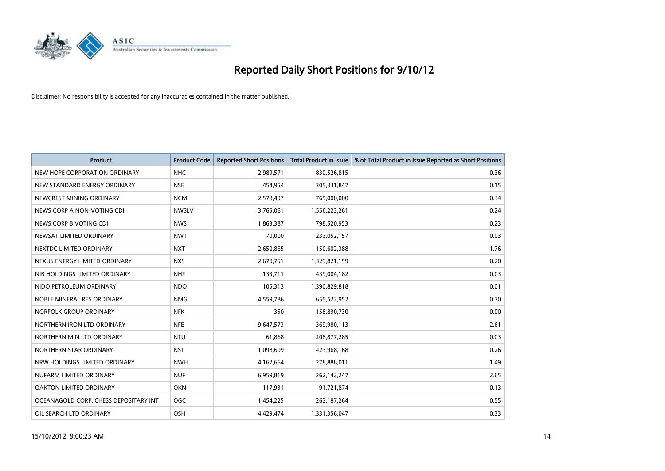

| <b>Product</b>                        | <b>Product Code</b> | <b>Reported Short Positions</b> | <b>Total Product in Issue</b> | % of Total Product in Issue Reported as Short Positions |
|---------------------------------------|---------------------|---------------------------------|-------------------------------|---------------------------------------------------------|
| NEW HOPE CORPORATION ORDINARY         | <b>NHC</b>          | 2,989,571                       | 830,526,815                   | 0.36                                                    |
| NEW STANDARD ENERGY ORDINARY          | <b>NSE</b>          | 454,954                         | 305,331,847                   | 0.15                                                    |
| NEWCREST MINING ORDINARY              | <b>NCM</b>          | 2,578,497                       | 765,000,000                   | 0.34                                                    |
| NEWS CORP A NON-VOTING CDI            | <b>NWSLV</b>        | 3,765,061                       | 1,556,223,261                 | 0.24                                                    |
| NEWS CORP B VOTING CDI                | <b>NWS</b>          | 1,863,387                       | 798,520,953                   | 0.23                                                    |
| NEWSAT LIMITED ORDINARY               | <b>NWT</b>          | 70,000                          | 233,052,157                   | 0.03                                                    |
| NEXTDC LIMITED ORDINARY               | <b>NXT</b>          | 2,650,865                       | 150,602,388                   | 1.76                                                    |
| NEXUS ENERGY LIMITED ORDINARY         | <b>NXS</b>          | 2,670,751                       | 1,329,821,159                 | 0.20                                                    |
| NIB HOLDINGS LIMITED ORDINARY         | <b>NHF</b>          | 133,711                         | 439,004,182                   | 0.03                                                    |
| NIDO PETROLEUM ORDINARY               | <b>NDO</b>          | 105,313                         | 1,390,829,818                 | 0.01                                                    |
| NOBLE MINERAL RES ORDINARY            | <b>NMG</b>          | 4,559,786                       | 655,522,952                   | 0.70                                                    |
| NORFOLK GROUP ORDINARY                | <b>NFK</b>          | 350                             | 158,890,730                   | 0.00                                                    |
| NORTHERN IRON LTD ORDINARY            | <b>NFE</b>          | 9,647,573                       | 369,980,113                   | 2.61                                                    |
| NORTHERN MIN LTD ORDINARY             | <b>NTU</b>          | 61,868                          | 208,877,285                   | 0.03                                                    |
| NORTHERN STAR ORDINARY                | <b>NST</b>          | 1,098,609                       | 423,968,168                   | 0.26                                                    |
| NRW HOLDINGS LIMITED ORDINARY         | <b>NWH</b>          | 4,162,664                       | 278,888,011                   | 1.49                                                    |
| NUFARM LIMITED ORDINARY               | <b>NUF</b>          | 6,959,819                       | 262,142,247                   | 2.65                                                    |
| OAKTON LIMITED ORDINARY               | <b>OKN</b>          | 117,931                         | 91,721,874                    | 0.13                                                    |
| OCEANAGOLD CORP. CHESS DEPOSITARY INT | <b>OGC</b>          | 1,454,225                       | 263, 187, 264                 | 0.55                                                    |
| OIL SEARCH LTD ORDINARY               | OSH                 | 4.429.474                       | 1,331,356,047                 | 0.33                                                    |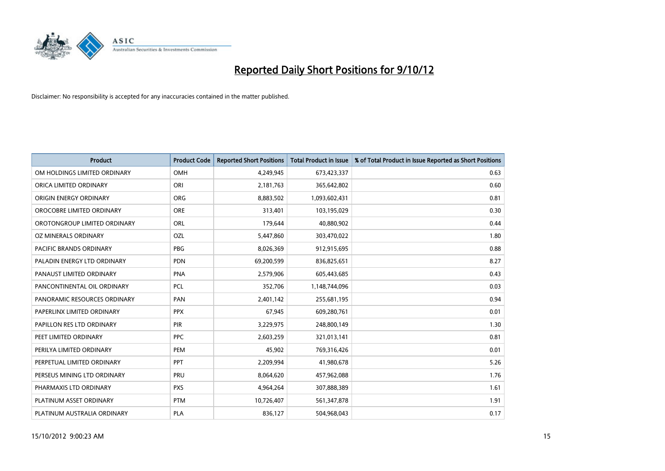

| <b>Product</b>               | <b>Product Code</b> | <b>Reported Short Positions</b> | <b>Total Product in Issue</b> | % of Total Product in Issue Reported as Short Positions |
|------------------------------|---------------------|---------------------------------|-------------------------------|---------------------------------------------------------|
| OM HOLDINGS LIMITED ORDINARY | <b>OMH</b>          | 4,249,945                       | 673,423,337                   | 0.63                                                    |
| ORICA LIMITED ORDINARY       | ORI                 | 2,181,763                       | 365,642,802                   | 0.60                                                    |
| ORIGIN ENERGY ORDINARY       | <b>ORG</b>          | 8,883,502                       | 1,093,602,431                 | 0.81                                                    |
| OROCOBRE LIMITED ORDINARY    | <b>ORE</b>          | 313,401                         | 103,195,029                   | 0.30                                                    |
| OROTONGROUP LIMITED ORDINARY | <b>ORL</b>          | 179,644                         | 40,880,902                    | 0.44                                                    |
| OZ MINERALS ORDINARY         | OZL                 | 5,447,860                       | 303,470,022                   | 1.80                                                    |
| PACIFIC BRANDS ORDINARY      | PBG                 | 8,026,369                       | 912,915,695                   | 0.88                                                    |
| PALADIN ENERGY LTD ORDINARY  | <b>PDN</b>          | 69,200,599                      | 836,825,651                   | 8.27                                                    |
| PANAUST LIMITED ORDINARY     | <b>PNA</b>          | 2,579,906                       | 605,443,685                   | 0.43                                                    |
| PANCONTINENTAL OIL ORDINARY  | <b>PCL</b>          | 352,706                         | 1,148,744,096                 | 0.03                                                    |
| PANORAMIC RESOURCES ORDINARY | PAN                 | 2,401,142                       | 255,681,195                   | 0.94                                                    |
| PAPERLINX LIMITED ORDINARY   | <b>PPX</b>          | 67,945                          | 609,280,761                   | 0.01                                                    |
| PAPILLON RES LTD ORDINARY    | PIR                 | 3,229,975                       | 248,800,149                   | 1.30                                                    |
| PEET LIMITED ORDINARY        | <b>PPC</b>          | 2,603,259                       | 321,013,141                   | 0.81                                                    |
| PERILYA LIMITED ORDINARY     | PEM                 | 45,902                          | 769,316,426                   | 0.01                                                    |
| PERPETUAL LIMITED ORDINARY   | PPT                 | 2,209,994                       | 41,980,678                    | 5.26                                                    |
| PERSEUS MINING LTD ORDINARY  | PRU                 | 8,064,620                       | 457,962,088                   | 1.76                                                    |
| PHARMAXIS LTD ORDINARY       | <b>PXS</b>          | 4,964,264                       | 307,888,389                   | 1.61                                                    |
| PLATINUM ASSET ORDINARY      | <b>PTM</b>          | 10,726,407                      | 561,347,878                   | 1.91                                                    |
| PLATINUM AUSTRALIA ORDINARY  | <b>PLA</b>          | 836,127                         | 504,968,043                   | 0.17                                                    |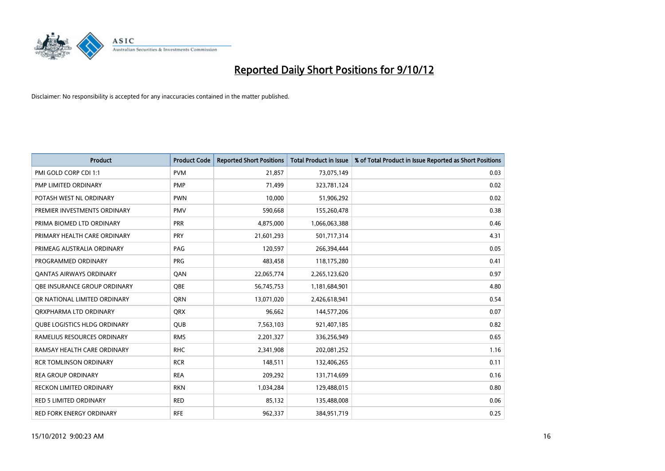

| <b>Product</b>                      | <b>Product Code</b> | <b>Reported Short Positions</b> | <b>Total Product in Issue</b> | % of Total Product in Issue Reported as Short Positions |
|-------------------------------------|---------------------|---------------------------------|-------------------------------|---------------------------------------------------------|
| PMI GOLD CORP CDI 1:1               | <b>PVM</b>          | 21,857                          | 73,075,149                    | 0.03                                                    |
| PMP LIMITED ORDINARY                | <b>PMP</b>          | 71,499                          | 323,781,124                   | 0.02                                                    |
| POTASH WEST NL ORDINARY             | <b>PWN</b>          | 10,000                          | 51,906,292                    | 0.02                                                    |
| PREMIER INVESTMENTS ORDINARY        | <b>PMV</b>          | 590,668                         | 155,260,478                   | 0.38                                                    |
| PRIMA BIOMED LTD ORDINARY           | PRR                 | 4,875,000                       | 1,066,063,388                 | 0.46                                                    |
| PRIMARY HEALTH CARE ORDINARY        | PRY                 | 21,601,293                      | 501,717,314                   | 4.31                                                    |
| PRIMEAG AUSTRALIA ORDINARY          | PAG                 | 120,597                         | 266,394,444                   | 0.05                                                    |
| PROGRAMMED ORDINARY                 | <b>PRG</b>          | 483,458                         | 118,175,280                   | 0.41                                                    |
| <b>QANTAS AIRWAYS ORDINARY</b>      | QAN                 | 22,065,774                      | 2,265,123,620                 | 0.97                                                    |
| OBE INSURANCE GROUP ORDINARY        | <b>OBE</b>          | 56,745,753                      | 1,181,684,901                 | 4.80                                                    |
| OR NATIONAL LIMITED ORDINARY        | <b>ORN</b>          | 13,071,020                      | 2,426,618,941                 | 0.54                                                    |
| ORXPHARMA LTD ORDINARY              | <b>QRX</b>          | 96,662                          | 144,577,206                   | 0.07                                                    |
| <b>QUBE LOGISTICS HLDG ORDINARY</b> | QUB                 | 7,563,103                       | 921,407,185                   | 0.82                                                    |
| RAMELIUS RESOURCES ORDINARY         | <b>RMS</b>          | 2,201,327                       | 336,256,949                   | 0.65                                                    |
| RAMSAY HEALTH CARE ORDINARY         | <b>RHC</b>          | 2,341,908                       | 202,081,252                   | 1.16                                                    |
| <b>RCR TOMLINSON ORDINARY</b>       | <b>RCR</b>          | 148,511                         | 132,406,265                   | 0.11                                                    |
| <b>REA GROUP ORDINARY</b>           | <b>REA</b>          | 209,292                         | 131,714,699                   | 0.16                                                    |
| <b>RECKON LIMITED ORDINARY</b>      | <b>RKN</b>          | 1,034,284                       | 129,488,015                   | 0.80                                                    |
| <b>RED 5 LIMITED ORDINARY</b>       | <b>RED</b>          | 85,132                          | 135,488,008                   | 0.06                                                    |
| <b>RED FORK ENERGY ORDINARY</b>     | <b>RFE</b>          | 962.337                         | 384,951,719                   | 0.25                                                    |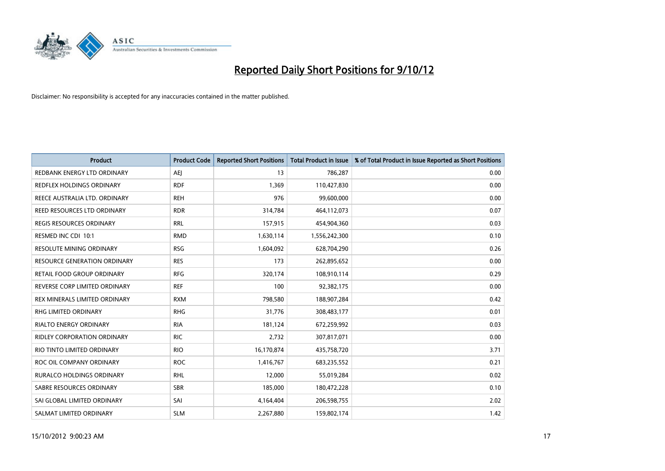

| <b>Product</b>                      | <b>Product Code</b> | <b>Reported Short Positions</b> | <b>Total Product in Issue</b> | % of Total Product in Issue Reported as Short Positions |
|-------------------------------------|---------------------|---------------------------------|-------------------------------|---------------------------------------------------------|
| REDBANK ENERGY LTD ORDINARY         | AEI                 | 13                              | 786,287                       | 0.00                                                    |
| REDFLEX HOLDINGS ORDINARY           | <b>RDF</b>          | 1,369                           | 110,427,830                   | 0.00                                                    |
| REECE AUSTRALIA LTD. ORDINARY       | <b>REH</b>          | 976                             | 99,600,000                    | 0.00                                                    |
| REED RESOURCES LTD ORDINARY         | <b>RDR</b>          | 314,784                         | 464,112,073                   | 0.07                                                    |
| <b>REGIS RESOURCES ORDINARY</b>     | <b>RRL</b>          | 157,915                         | 454,904,360                   | 0.03                                                    |
| RESMED INC CDI 10:1                 | <b>RMD</b>          | 1,630,114                       | 1,556,242,300                 | 0.10                                                    |
| RESOLUTE MINING ORDINARY            | <b>RSG</b>          | 1,604,092                       | 628,704,290                   | 0.26                                                    |
| <b>RESOURCE GENERATION ORDINARY</b> | <b>RES</b>          | 173                             | 262,895,652                   | 0.00                                                    |
| RETAIL FOOD GROUP ORDINARY          | <b>RFG</b>          | 320,174                         | 108,910,114                   | 0.29                                                    |
| REVERSE CORP LIMITED ORDINARY       | <b>REF</b>          | 100                             | 92,382,175                    | 0.00                                                    |
| REX MINERALS LIMITED ORDINARY       | <b>RXM</b>          | 798,580                         | 188,907,284                   | 0.42                                                    |
| RHG LIMITED ORDINARY                | <b>RHG</b>          | 31,776                          | 308,483,177                   | 0.01                                                    |
| <b>RIALTO ENERGY ORDINARY</b>       | <b>RIA</b>          | 181,124                         | 672,259,992                   | 0.03                                                    |
| <b>RIDLEY CORPORATION ORDINARY</b>  | <b>RIC</b>          | 2,732                           | 307,817,071                   | 0.00                                                    |
| RIO TINTO LIMITED ORDINARY          | <b>RIO</b>          | 16,170,874                      | 435,758,720                   | 3.71                                                    |
| ROC OIL COMPANY ORDINARY            | <b>ROC</b>          | 1,416,767                       | 683,235,552                   | 0.21                                                    |
| RURALCO HOLDINGS ORDINARY           | <b>RHL</b>          | 12,000                          | 55,019,284                    | 0.02                                                    |
| SABRE RESOURCES ORDINARY            | <b>SBR</b>          | 185,000                         | 180,472,228                   | 0.10                                                    |
| SAI GLOBAL LIMITED ORDINARY         | SAI                 | 4,164,404                       | 206,598,755                   | 2.02                                                    |
| SALMAT LIMITED ORDINARY             | <b>SLM</b>          | 2,267,880                       | 159,802,174                   | 1.42                                                    |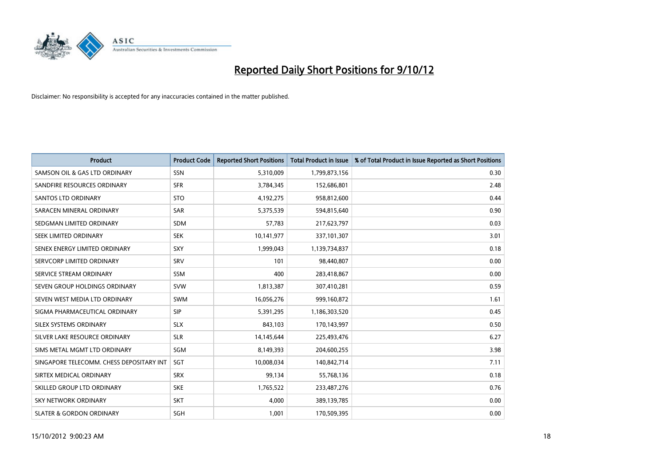

| <b>Product</b>                           | <b>Product Code</b> | <b>Reported Short Positions</b> | <b>Total Product in Issue</b> | % of Total Product in Issue Reported as Short Positions |
|------------------------------------------|---------------------|---------------------------------|-------------------------------|---------------------------------------------------------|
| SAMSON OIL & GAS LTD ORDINARY            | SSN                 | 5,310,009                       | 1,799,873,156                 | 0.30                                                    |
| SANDFIRE RESOURCES ORDINARY              | <b>SFR</b>          | 3,784,345                       | 152,686,801                   | 2.48                                                    |
| <b>SANTOS LTD ORDINARY</b>               | <b>STO</b>          | 4,192,275                       | 958,812,600                   | 0.44                                                    |
| SARACEN MINERAL ORDINARY                 | <b>SAR</b>          | 5,375,539                       | 594,815,640                   | 0.90                                                    |
| SEDGMAN LIMITED ORDINARY                 | <b>SDM</b>          | 57,783                          | 217,623,797                   | 0.03                                                    |
| SEEK LIMITED ORDINARY                    | <b>SEK</b>          | 10,141,977                      | 337,101,307                   | 3.01                                                    |
| SENEX ENERGY LIMITED ORDINARY            | <b>SXY</b>          | 1,999,043                       | 1,139,734,837                 | 0.18                                                    |
| SERVCORP LIMITED ORDINARY                | SRV                 | 101                             | 98,440,807                    | 0.00                                                    |
| SERVICE STREAM ORDINARY                  | SSM                 | 400                             | 283,418,867                   | 0.00                                                    |
| SEVEN GROUP HOLDINGS ORDINARY            | <b>SVW</b>          | 1,813,387                       | 307,410,281                   | 0.59                                                    |
| SEVEN WEST MEDIA LTD ORDINARY            | <b>SWM</b>          | 16,056,276                      | 999,160,872                   | 1.61                                                    |
| SIGMA PHARMACEUTICAL ORDINARY            | <b>SIP</b>          | 5,391,295                       | 1,186,303,520                 | 0.45                                                    |
| <b>SILEX SYSTEMS ORDINARY</b>            | <b>SLX</b>          | 843,103                         | 170,143,997                   | 0.50                                                    |
| SILVER LAKE RESOURCE ORDINARY            | <b>SLR</b>          | 14,145,644                      | 225,493,476                   | 6.27                                                    |
| SIMS METAL MGMT LTD ORDINARY             | SGM                 | 8,149,393                       | 204,600,255                   | 3.98                                                    |
| SINGAPORE TELECOMM. CHESS DEPOSITARY INT | SGT                 | 10,008,034                      | 140,842,714                   | 7.11                                                    |
| SIRTEX MEDICAL ORDINARY                  | <b>SRX</b>          | 99,134                          | 55,768,136                    | 0.18                                                    |
| SKILLED GROUP LTD ORDINARY               | <b>SKE</b>          | 1,765,522                       | 233,487,276                   | 0.76                                                    |
| <b>SKY NETWORK ORDINARY</b>              | <b>SKT</b>          | 4,000                           | 389,139,785                   | 0.00                                                    |
| <b>SLATER &amp; GORDON ORDINARY</b>      | SGH                 | 1,001                           | 170,509,395                   | 0.00                                                    |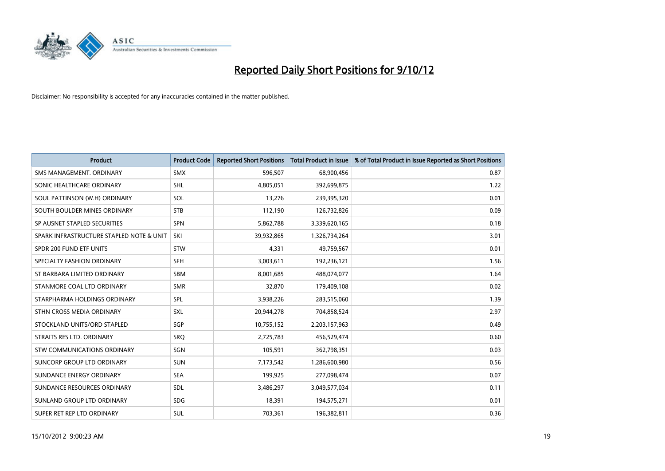

| <b>Product</b>                           | <b>Product Code</b> | <b>Reported Short Positions</b> | <b>Total Product in Issue</b> | % of Total Product in Issue Reported as Short Positions |
|------------------------------------------|---------------------|---------------------------------|-------------------------------|---------------------------------------------------------|
| SMS MANAGEMENT, ORDINARY                 | <b>SMX</b>          | 596,507                         | 68,900,456                    | 0.87                                                    |
| SONIC HEALTHCARE ORDINARY                | <b>SHL</b>          | 4,805,051                       | 392,699,875                   | 1.22                                                    |
| SOUL PATTINSON (W.H) ORDINARY            | SOL                 | 13,276                          | 239,395,320                   | 0.01                                                    |
| SOUTH BOULDER MINES ORDINARY             | <b>STB</b>          | 112,190                         | 126,732,826                   | 0.09                                                    |
| SP AUSNET STAPLED SECURITIES             | <b>SPN</b>          | 5,862,788                       | 3,339,620,165                 | 0.18                                                    |
| SPARK INFRASTRUCTURE STAPLED NOTE & UNIT | SKI                 | 39,932,865                      | 1,326,734,264                 | 3.01                                                    |
| SPDR 200 FUND ETF UNITS                  | <b>STW</b>          | 4,331                           | 49,759,567                    | 0.01                                                    |
| SPECIALTY FASHION ORDINARY               | <b>SFH</b>          | 3,003,611                       | 192,236,121                   | 1.56                                                    |
| ST BARBARA LIMITED ORDINARY              | <b>SBM</b>          | 8,001,685                       | 488,074,077                   | 1.64                                                    |
| STANMORE COAL LTD ORDINARY               | <b>SMR</b>          | 32,870                          | 179,409,108                   | 0.02                                                    |
| STARPHARMA HOLDINGS ORDINARY             | SPL                 | 3,938,226                       | 283,515,060                   | 1.39                                                    |
| STHN CROSS MEDIA ORDINARY                | <b>SXL</b>          | 20,944,278                      | 704,858,524                   | 2.97                                                    |
| STOCKLAND UNITS/ORD STAPLED              | SGP                 | 10,755,152                      | 2,203,157,963                 | 0.49                                                    |
| STRAITS RES LTD. ORDINARY                | SRO                 | 2,725,783                       | 456,529,474                   | 0.60                                                    |
| <b>STW COMMUNICATIONS ORDINARY</b>       | SGN                 | 105,591                         | 362,798,351                   | 0.03                                                    |
| SUNCORP GROUP LTD ORDINARY               | <b>SUN</b>          | 7,173,542                       | 1,286,600,980                 | 0.56                                                    |
| SUNDANCE ENERGY ORDINARY                 | <b>SEA</b>          | 199,925                         | 277,098,474                   | 0.07                                                    |
| SUNDANCE RESOURCES ORDINARY              | <b>SDL</b>          | 3,486,297                       | 3,049,577,034                 | 0.11                                                    |
| SUNLAND GROUP LTD ORDINARY               | <b>SDG</b>          | 18,391                          | 194,575,271                   | 0.01                                                    |
| SUPER RET REP LTD ORDINARY               | <b>SUL</b>          | 703,361                         | 196,382,811                   | 0.36                                                    |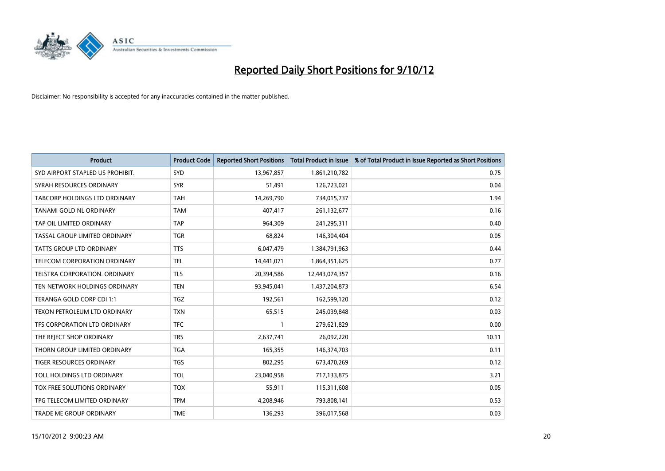

| <b>Product</b>                      | <b>Product Code</b> | <b>Reported Short Positions</b> | <b>Total Product in Issue</b> | % of Total Product in Issue Reported as Short Positions |
|-------------------------------------|---------------------|---------------------------------|-------------------------------|---------------------------------------------------------|
| SYD AIRPORT STAPLED US PROHIBIT.    | <b>SYD</b>          | 13,967,857                      | 1,861,210,782                 | 0.75                                                    |
| SYRAH RESOURCES ORDINARY            | <b>SYR</b>          | 51,491                          | 126,723,021                   | 0.04                                                    |
| TABCORP HOLDINGS LTD ORDINARY       | <b>TAH</b>          | 14,269,790                      | 734,015,737                   | 1.94                                                    |
| TANAMI GOLD NL ORDINARY             | <b>TAM</b>          | 407,417                         | 261,132,677                   | 0.16                                                    |
| TAP OIL LIMITED ORDINARY            | <b>TAP</b>          | 964,309                         | 241,295,311                   | 0.40                                                    |
| TASSAL GROUP LIMITED ORDINARY       | <b>TGR</b>          | 68.824                          | 146,304,404                   | 0.05                                                    |
| TATTS GROUP LTD ORDINARY            | <b>TTS</b>          | 6,047,479                       | 1,384,791,963                 | 0.44                                                    |
| TELECOM CORPORATION ORDINARY        | <b>TEL</b>          | 14,441,071                      | 1,864,351,625                 | 0.77                                                    |
| TELSTRA CORPORATION. ORDINARY       | <b>TLS</b>          | 20,394,586                      | 12,443,074,357                | 0.16                                                    |
| TEN NETWORK HOLDINGS ORDINARY       | <b>TEN</b>          | 93,945,041                      | 1,437,204,873                 | 6.54                                                    |
| TERANGA GOLD CORP CDI 1:1           | <b>TGZ</b>          | 192,561                         | 162,599,120                   | 0.12                                                    |
| <b>TEXON PETROLEUM LTD ORDINARY</b> | <b>TXN</b>          | 65,515                          | 245,039,848                   | 0.03                                                    |
| TFS CORPORATION LTD ORDINARY        | <b>TFC</b>          |                                 | 279,621,829                   | 0.00                                                    |
| THE REJECT SHOP ORDINARY            | <b>TRS</b>          | 2,637,741                       | 26,092,220                    | 10.11                                                   |
| THORN GROUP LIMITED ORDINARY        | <b>TGA</b>          | 165,355                         | 146,374,703                   | 0.11                                                    |
| <b>TIGER RESOURCES ORDINARY</b>     | <b>TGS</b>          | 802,295                         | 673,470,269                   | 0.12                                                    |
| TOLL HOLDINGS LTD ORDINARY          | <b>TOL</b>          | 23,040,958                      | 717,133,875                   | 3.21                                                    |
| TOX FREE SOLUTIONS ORDINARY         | <b>TOX</b>          | 55,911                          | 115,311,608                   | 0.05                                                    |
| TPG TELECOM LIMITED ORDINARY        | <b>TPM</b>          | 4,208,946                       | 793,808,141                   | 0.53                                                    |
| TRADE ME GROUP ORDINARY             | <b>TME</b>          | 136,293                         | 396,017,568                   | 0.03                                                    |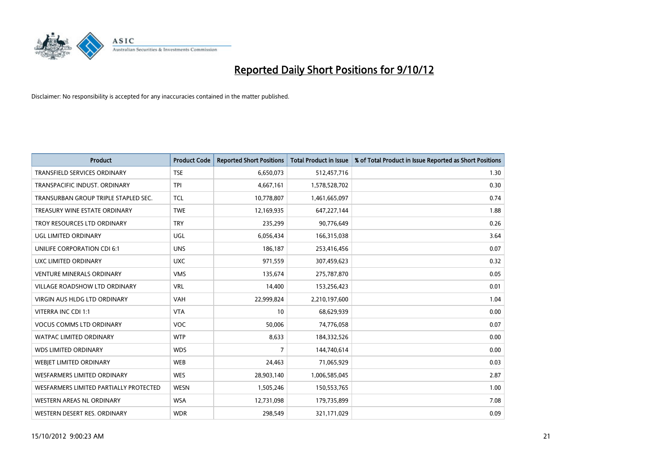

| <b>Product</b>                         | <b>Product Code</b> | <b>Reported Short Positions</b> | <b>Total Product in Issue</b> | % of Total Product in Issue Reported as Short Positions |
|----------------------------------------|---------------------|---------------------------------|-------------------------------|---------------------------------------------------------|
| <b>TRANSFIELD SERVICES ORDINARY</b>    | <b>TSE</b>          | 6,650,073                       | 512,457,716                   | 1.30                                                    |
| TRANSPACIFIC INDUST, ORDINARY          | <b>TPI</b>          | 4,667,161                       | 1,578,528,702                 | 0.30                                                    |
| TRANSURBAN GROUP TRIPLE STAPLED SEC.   | <b>TCL</b>          | 10,778,807                      | 1,461,665,097                 | 0.74                                                    |
| TREASURY WINE ESTATE ORDINARY          | <b>TWE</b>          | 12,169,935                      | 647,227,144                   | 1.88                                                    |
| TROY RESOURCES LTD ORDINARY            | <b>TRY</b>          | 235,299                         | 90,776,649                    | 0.26                                                    |
| UGL LIMITED ORDINARY                   | <b>UGL</b>          | 6,056,434                       | 166,315,038                   | 3.64                                                    |
| UNILIFE CORPORATION CDI 6:1            | <b>UNS</b>          | 186,187                         | 253,416,456                   | 0.07                                                    |
| UXC LIMITED ORDINARY                   | <b>UXC</b>          | 971,559                         | 307,459,623                   | 0.32                                                    |
| <b>VENTURE MINERALS ORDINARY</b>       | <b>VMS</b>          | 135,674                         | 275,787,870                   | 0.05                                                    |
| <b>VILLAGE ROADSHOW LTD ORDINARY</b>   | <b>VRL</b>          | 14,400                          | 153,256,423                   | 0.01                                                    |
| <b>VIRGIN AUS HLDG LTD ORDINARY</b>    | <b>VAH</b>          | 22,999,824                      | 2,210,197,600                 | 1.04                                                    |
| VITERRA INC CDI 1:1                    | <b>VTA</b>          | 10                              | 68,629,939                    | 0.00                                                    |
| <b>VOCUS COMMS LTD ORDINARY</b>        | <b>VOC</b>          | 50,006                          | 74,776,058                    | 0.07                                                    |
| <b>WATPAC LIMITED ORDINARY</b>         | <b>WTP</b>          | 8,633                           | 184,332,526                   | 0.00                                                    |
| <b>WDS LIMITED ORDINARY</b>            | <b>WDS</b>          | 7                               | 144,740,614                   | 0.00                                                    |
| <b>WEBJET LIMITED ORDINARY</b>         | <b>WEB</b>          | 24,463                          | 71,065,929                    | 0.03                                                    |
| <b>WESFARMERS LIMITED ORDINARY</b>     | <b>WES</b>          | 28,903,140                      | 1,006,585,045                 | 2.87                                                    |
| WESFARMERS LIMITED PARTIALLY PROTECTED | <b>WESN</b>         | 1,505,246                       | 150,553,765                   | 1.00                                                    |
| <b>WESTERN AREAS NL ORDINARY</b>       | <b>WSA</b>          | 12,731,098                      | 179,735,899                   | 7.08                                                    |
| WESTERN DESERT RES. ORDINARY           | <b>WDR</b>          | 298.549                         | 321,171,029                   | 0.09                                                    |